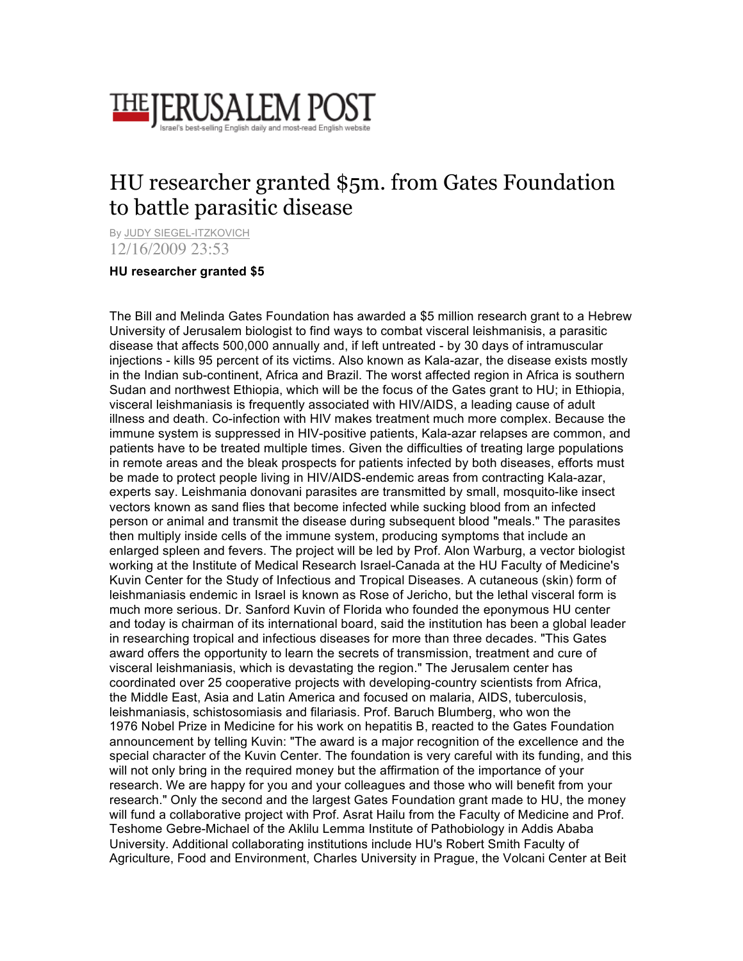

## HU researcher granted \$5m. from Gates Foundation to battle parasitic disease

By JUDY SIEGEL-ITZKOVICH 12/16/2009 23:53

## **HU researcher granted \$5**

The Bill and Melinda Gates Foundation has awarded a \$5 million research grant to a Hebrew University of Jerusalem biologist to find ways to combat visceral leishmanisis, a parasitic disease that affects 500,000 annually and, if left untreated - by 30 days of intramuscular injections - kills 95 percent of its victims. Also known as Kala-azar, the disease exists mostly in the Indian sub-continent, Africa and Brazil. The worst affected region in Africa is southern Sudan and northwest Ethiopia, which will be the focus of the Gates grant to HU; in Ethiopia, visceral leishmaniasis is frequently associated with HIV/AIDS, a leading cause of adult illness and death. Co-infection with HIV makes treatment much more complex. Because the immune system is suppressed in HIV-positive patients, Kala-azar relapses are common, and patients have to be treated multiple times. Given the difficulties of treating large populations in remote areas and the bleak prospects for patients infected by both diseases, efforts must be made to protect people living in HIV/AIDS-endemic areas from contracting Kala-azar, experts say. Leishmania donovani parasites are transmitted by small, mosquito-like insect vectors known as sand flies that become infected while sucking blood from an infected person or animal and transmit the disease during subsequent blood "meals." The parasites then multiply inside cells of the immune system, producing symptoms that include an enlarged spleen and fevers. The project will be led by Prof. Alon Warburg, a vector biologist working at the Institute of Medical Research Israel-Canada at the HU Faculty of Medicine's Kuvin Center for the Study of Infectious and Tropical Diseases. A cutaneous (skin) form of leishmaniasis endemic in Israel is known as Rose of Jericho, but the lethal visceral form is much more serious. Dr. Sanford Kuvin of Florida who founded the eponymous HU center and today is chairman of its international board, said the institution has been a global leader in researching tropical and infectious diseases for more than three decades. "This Gates award offers the opportunity to learn the secrets of transmission, treatment and cure of visceral leishmaniasis, which is devastating the region." The Jerusalem center has coordinated over 25 cooperative projects with developing-country scientists from Africa, the Middle East, Asia and Latin America and focused on malaria, AIDS, tuberculosis, leishmaniasis, schistosomiasis and filariasis. Prof. Baruch Blumberg, who won the 1976 Nobel Prize in Medicine for his work on hepatitis B, reacted to the Gates Foundation announcement by telling Kuvin: "The award is a major recognition of the excellence and the special character of the Kuvin Center. The foundation is very careful with its funding, and this will not only bring in the required money but the affirmation of the importance of your research. We are happy for you and your colleagues and those who will benefit from your research." Only the second and the largest Gates Foundation grant made to HU, the money will fund a collaborative project with Prof. Asrat Hailu from the Faculty of Medicine and Prof. Teshome Gebre-Michael of the Aklilu Lemma Institute of Pathobiology in Addis Ababa University. Additional collaborating institutions include HU's Robert Smith Faculty of Agriculture, Food and Environment, Charles University in Prague, the Volcani Center at Beit